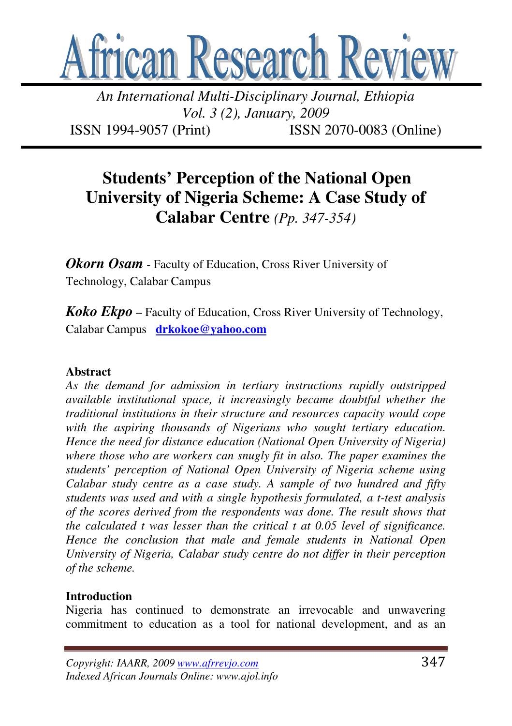

*An International Multi-Disciplinary Journal, Ethiopia Vol. 3 (2), January, 2009*  ISSN 1994-9057 (Print) ISSN 2070-0083 (Online)

# **Students' Perception of the National Open University of Nigeria Scheme: A Case Study of Calabar Centre** *(Pp. 347-354)*

*Okorn Osam* - Faculty of Education, Cross River University of Technology, Calabar Campus

*Koko Ekpo* – Faculty of Education, Cross River University of Technology, Calabar Campus **drkokoe@yahoo.com**

#### **Abstract**

*As the demand for admission in tertiary instructions rapidly outstripped available institutional space, it increasingly became doubtful whether the traditional institutions in their structure and resources capacity would cope with the aspiring thousands of Nigerians who sought tertiary education. Hence the need for distance education (National Open University of Nigeria) where those who are workers can snugly fit in also. The paper examines the students' perception of National Open University of Nigeria scheme using Calabar study centre as a case study. A sample of two hundred and fifty students was used and with a single hypothesis formulated, a t-test analysis of the scores derived from the respondents was done. The result shows that the calculated t was lesser than the critical t at 0.05 level of significance. Hence the conclusion that male and female students in National Open University of Nigeria, Calabar study centre do not differ in their perception of the scheme.* 

#### **Introduction**

Nigeria has continued to demonstrate an irrevocable and unwavering commitment to education as a tool for national development, and as an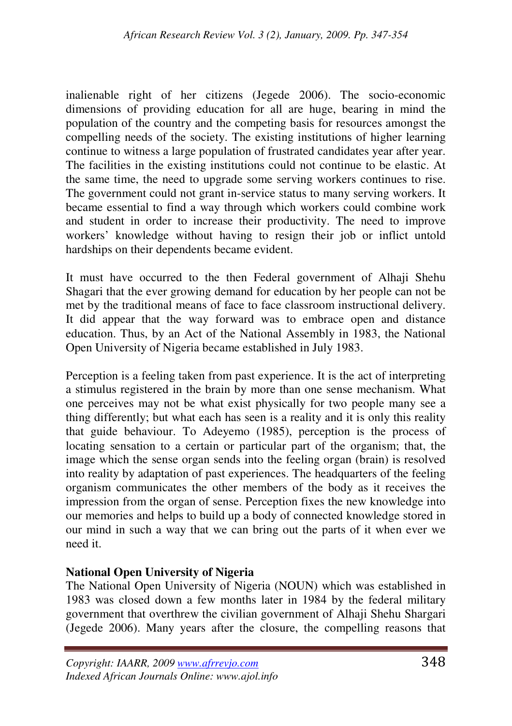inalienable right of her citizens (Jegede 2006). The socio-economic dimensions of providing education for all are huge, bearing in mind the population of the country and the competing basis for resources amongst the compelling needs of the society. The existing institutions of higher learning continue to witness a large population of frustrated candidates year after year. The facilities in the existing institutions could not continue to be elastic. At the same time, the need to upgrade some serving workers continues to rise. The government could not grant in-service status to many serving workers. It became essential to find a way through which workers could combine work and student in order to increase their productivity. The need to improve workers' knowledge without having to resign their job or inflict untold hardships on their dependents became evident.

It must have occurred to the then Federal government of Alhaji Shehu Shagari that the ever growing demand for education by her people can not be met by the traditional means of face to face classroom instructional delivery. It did appear that the way forward was to embrace open and distance education. Thus, by an Act of the National Assembly in 1983, the National Open University of Nigeria became established in July 1983.

Perception is a feeling taken from past experience. It is the act of interpreting a stimulus registered in the brain by more than one sense mechanism. What one perceives may not be what exist physically for two people many see a thing differently; but what each has seen is a reality and it is only this reality that guide behaviour. To Adeyemo (1985), perception is the process of locating sensation to a certain or particular part of the organism; that, the image which the sense organ sends into the feeling organ (brain) is resolved into reality by adaptation of past experiences. The headquarters of the feeling organism communicates the other members of the body as it receives the impression from the organ of sense. Perception fixes the new knowledge into our memories and helps to build up a body of connected knowledge stored in our mind in such a way that we can bring out the parts of it when ever we need it.

## **National Open University of Nigeria**

The National Open University of Nigeria (NOUN) which was established in 1983 was closed down a few months later in 1984 by the federal military government that overthrew the civilian government of Alhaji Shehu Shargari (Jegede 2006). Many years after the closure, the compelling reasons that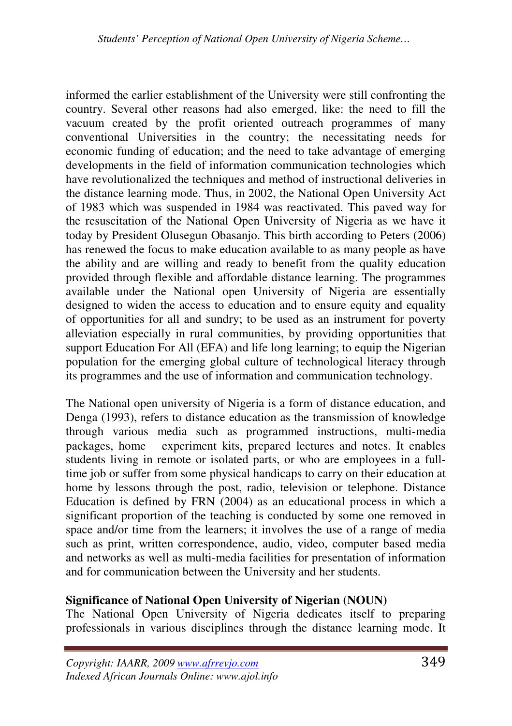informed the earlier establishment of the University were still confronting the country. Several other reasons had also emerged, like: the need to fill the vacuum created by the profit oriented outreach programmes of many conventional Universities in the country; the necessitating needs for economic funding of education; and the need to take advantage of emerging developments in the field of information communication technologies which have revolutionalized the techniques and method of instructional deliveries in the distance learning mode. Thus, in 2002, the National Open University Act of 1983 which was suspended in 1984 was reactivated. This paved way for the resuscitation of the National Open University of Nigeria as we have it today by President Olusegun Obasanjo. This birth according to Peters (2006) has renewed the focus to make education available to as many people as have the ability and are willing and ready to benefit from the quality education provided through flexible and affordable distance learning. The programmes available under the National open University of Nigeria are essentially designed to widen the access to education and to ensure equity and equality of opportunities for all and sundry; to be used as an instrument for poverty alleviation especially in rural communities, by providing opportunities that support Education For All (EFA) and life long learning; to equip the Nigerian population for the emerging global culture of technological literacy through its programmes and the use of information and communication technology.

The National open university of Nigeria is a form of distance education, and Denga (1993), refers to distance education as the transmission of knowledge through various media such as programmed instructions, multi-media packages, home experiment kits, prepared lectures and notes. It enables students living in remote or isolated parts, or who are employees in a fulltime job or suffer from some physical handicaps to carry on their education at home by lessons through the post, radio, television or telephone. Distance Education is defined by FRN (2004) as an educational process in which a significant proportion of the teaching is conducted by some one removed in space and/or time from the learners; it involves the use of a range of media such as print, written correspondence, audio, video, computer based media and networks as well as multi-media facilities for presentation of information and for communication between the University and her students.

## **Significance of National Open University of Nigerian (NOUN)**

The National Open University of Nigeria dedicates itself to preparing professionals in various disciplines through the distance learning mode. It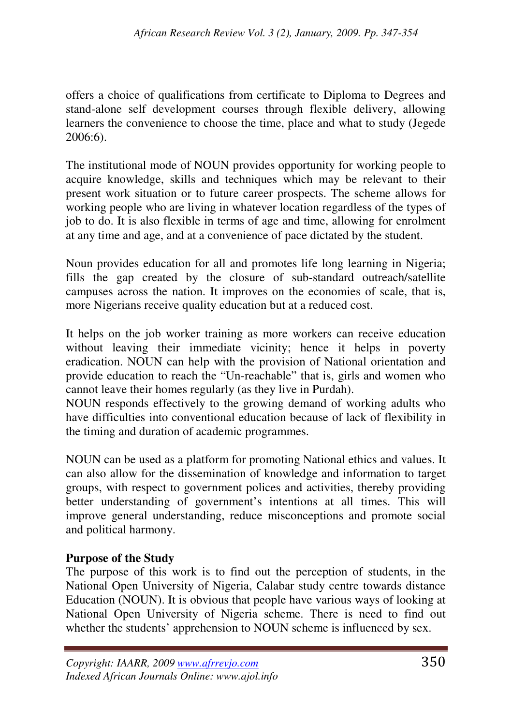offers a choice of qualifications from certificate to Diploma to Degrees and stand-alone self development courses through flexible delivery, allowing learners the convenience to choose the time, place and what to study (Jegede 2006:6).

The institutional mode of NOUN provides opportunity for working people to acquire knowledge, skills and techniques which may be relevant to their present work situation or to future career prospects. The scheme allows for working people who are living in whatever location regardless of the types of job to do. It is also flexible in terms of age and time, allowing for enrolment at any time and age, and at a convenience of pace dictated by the student.

Noun provides education for all and promotes life long learning in Nigeria; fills the gap created by the closure of sub-standard outreach/satellite campuses across the nation. It improves on the economies of scale, that is, more Nigerians receive quality education but at a reduced cost.

It helps on the job worker training as more workers can receive education without leaving their immediate vicinity; hence it helps in poverty eradication. NOUN can help with the provision of National orientation and provide education to reach the "Un-reachable" that is, girls and women who cannot leave their homes regularly (as they live in Purdah).

NOUN responds effectively to the growing demand of working adults who have difficulties into conventional education because of lack of flexibility in the timing and duration of academic programmes.

NOUN can be used as a platform for promoting National ethics and values. It can also allow for the dissemination of knowledge and information to target groups, with respect to government polices and activities, thereby providing better understanding of government's intentions at all times. This will improve general understanding, reduce misconceptions and promote social and political harmony.

#### **Purpose of the Study**

The purpose of this work is to find out the perception of students, in the National Open University of Nigeria, Calabar study centre towards distance Education (NOUN). It is obvious that people have various ways of looking at National Open University of Nigeria scheme. There is need to find out whether the students' apprehension to NOUN scheme is influenced by sex.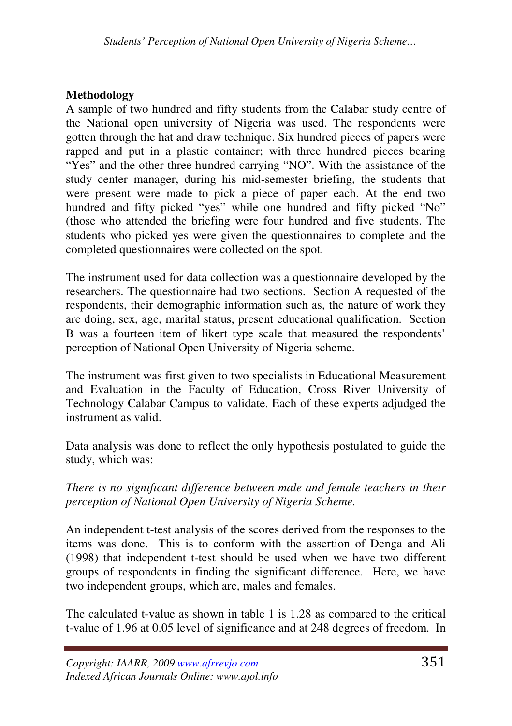## **Methodology**

A sample of two hundred and fifty students from the Calabar study centre of the National open university of Nigeria was used. The respondents were gotten through the hat and draw technique. Six hundred pieces of papers were rapped and put in a plastic container; with three hundred pieces bearing "Yes" and the other three hundred carrying "NO". With the assistance of the study center manager, during his mid-semester briefing, the students that were present were made to pick a piece of paper each. At the end two hundred and fifty picked "yes" while one hundred and fifty picked "No" (those who attended the briefing were four hundred and five students. The students who picked yes were given the questionnaires to complete and the completed questionnaires were collected on the spot.

The instrument used for data collection was a questionnaire developed by the researchers. The questionnaire had two sections. Section A requested of the respondents, their demographic information such as, the nature of work they are doing, sex, age, marital status, present educational qualification. Section B was a fourteen item of likert type scale that measured the respondents' perception of National Open University of Nigeria scheme.

The instrument was first given to two specialists in Educational Measurement and Evaluation in the Faculty of Education, Cross River University of Technology Calabar Campus to validate. Each of these experts adjudged the instrument as valid.

Data analysis was done to reflect the only hypothesis postulated to guide the study, which was:

## *There is no significant difference between male and female teachers in their perception of National Open University of Nigeria Scheme.*

An independent t-test analysis of the scores derived from the responses to the items was done. This is to conform with the assertion of Denga and Ali (1998) that independent t-test should be used when we have two different groups of respondents in finding the significant difference. Here, we have two independent groups, which are, males and females.

The calculated t-value as shown in table 1 is 1.28 as compared to the critical t-value of 1.96 at 0.05 level of significance and at 248 degrees of freedom. In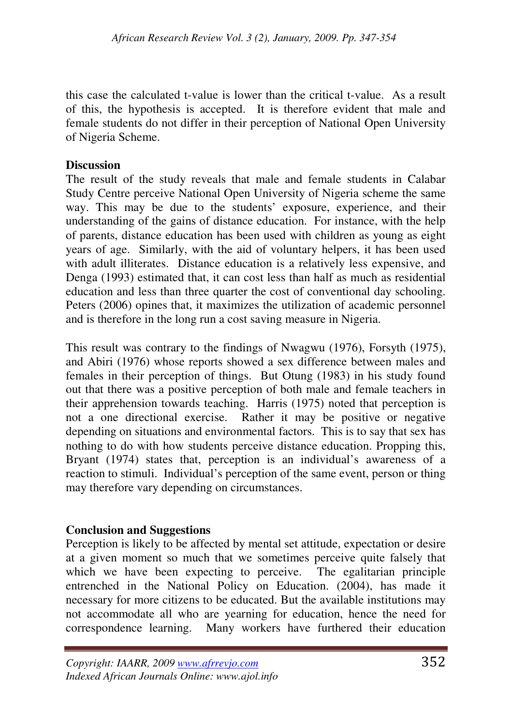this case the calculated t-value is lower than the critical t-value. As a result of this, the hypothesis is accepted. It is therefore evident that male and female students do not differ in their perception of National Open University of Nigeria Scheme.

### **Discussion**

The result of the study reveals that male and female students in Calabar Study Centre perceive National Open University of Nigeria scheme the same way. This may be due to the students' exposure, experience, and their understanding of the gains of distance education. For instance, with the help of parents, distance education has been used with children as young as eight years of age. Similarly, with the aid of voluntary helpers, it has been used with adult illiterates. Distance education is a relatively less expensive, and Denga (1993) estimated that, it can cost less than half as much as residential education and less than three quarter the cost of conventional day schooling. Peters (2006) opines that, it maximizes the utilization of academic personnel and is therefore in the long run a cost saving measure in Nigeria.

This result was contrary to the findings of Nwagwu (1976), Forsyth (1975), and Abiri (1976) whose reports showed a sex difference between males and females in their perception of things. But Otung (1983) in his study found out that there was a positive perception of both male and female teachers in their apprehension towards teaching. Harris (1975) noted that perception is not a one directional exercise. Rather it may be positive or negative depending on situations and environmental factors. This is to say that sex has nothing to do with how students perceive distance education. Propping this, Bryant (1974) states that, perception is an individual's awareness of a reaction to stimuli. Individual's perception of the same event, person or thing may therefore vary depending on circumstances.

## **Conclusion and Suggestions**

Perception is likely to be affected by mental set attitude, expectation or desire at a given moment so much that we sometimes perceive quite falsely that which we have been expecting to perceive. The egalitarian principle entrenched in the National Policy on Education. (2004), has made it necessary for more citizens to be educated. But the available institutions may not accommodate all who are yearning for education, hence the need for correspondence learning. Many workers have furthered their education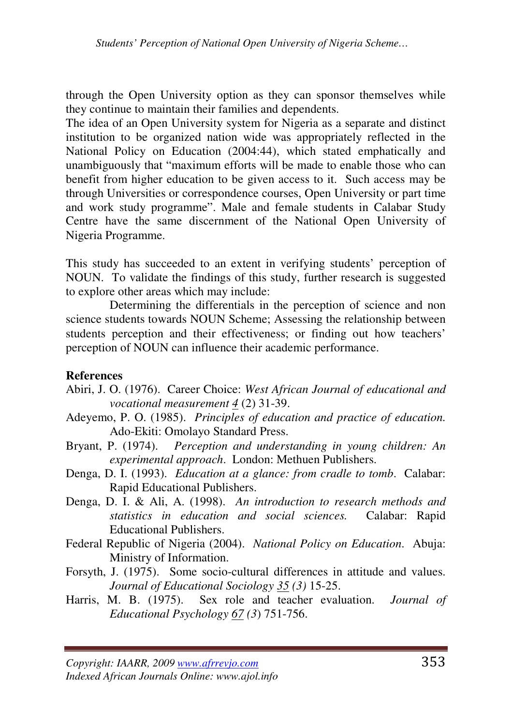through the Open University option as they can sponsor themselves while they continue to maintain their families and dependents.

The idea of an Open University system for Nigeria as a separate and distinct institution to be organized nation wide was appropriately reflected in the National Policy on Education (2004:44), which stated emphatically and unambiguously that "maximum efforts will be made to enable those who can benefit from higher education to be given access to it. Such access may be through Universities or correspondence courses, Open University or part time and work study programme". Male and female students in Calabar Study Centre have the same discernment of the National Open University of Nigeria Programme.

This study has succeeded to an extent in verifying students' perception of NOUN. To validate the findings of this study, further research is suggested to explore other areas which may include:

 Determining the differentials in the perception of science and non science students towards NOUN Scheme; Assessing the relationship between students perception and their effectiveness; or finding out how teachers' perception of NOUN can influence their academic performance.

#### **References**

- Abiri, J. O. (1976). Career Choice: *West African Journal of educational and vocational measurement 4* (2) 31-39.
- Adeyemo, P. O. (1985). *Principles of education and practice of education.*  Ado-Ekiti: Omolayo Standard Press.
- Bryant, P. (1974). *Perception and understanding in young children: An experimental approach*. London: Methuen Publishers.
- Denga, D. I. (1993). *Education at a glance: from cradle to tomb*. Calabar: Rapid Educational Publishers.
- Denga, D. I. & Ali, A. (1998). *An introduction to research methods and statistics in education and social sciences.* Calabar: Rapid Educational Publishers.
- Federal Republic of Nigeria (2004). *National Policy on Education*. Abuja: Ministry of Information.
- Forsyth, J. (1975). Some socio-cultural differences in attitude and values. *Journal of Educational Sociology 35 (3)* 15-25.
- Harris, M. B. (1975). Sex role and teacher evaluation. *Journal of Educational Psychology 67 (3*) 751-756.